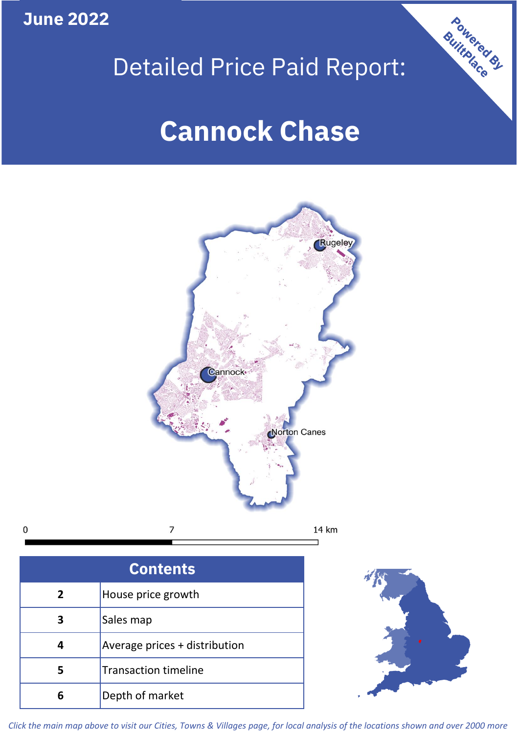**June 2022**

# **Powered By** Detailed Price Paid Report: **Cannock Chase**



| <b>Contents</b> |                               |  |  |
|-----------------|-------------------------------|--|--|
| 2               | House price growth            |  |  |
| 3               | Sales map                     |  |  |
|                 | Average prices + distribution |  |  |
|                 | <b>Transaction timeline</b>   |  |  |
|                 | Depth of market               |  |  |



*Click the main map above to visit our Cities, Towns & Villages page, for local analysis of the locations shown and over 2000 more*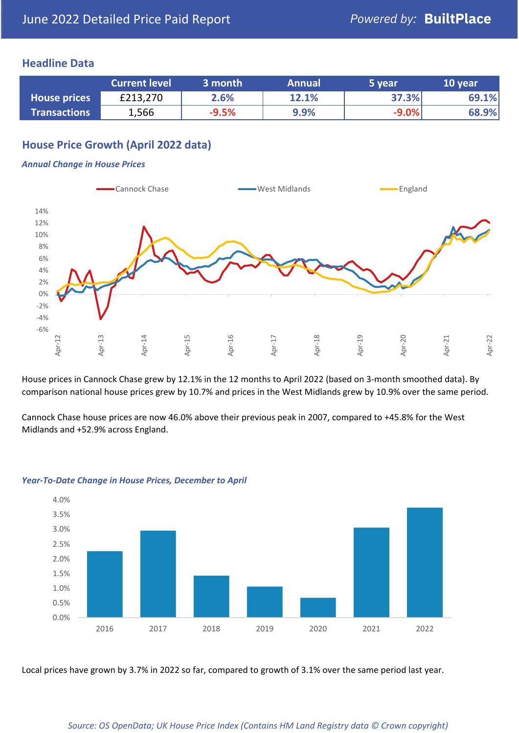## **Headline Data**

|                     | <b>Current level</b> | 3 month | <b>Annual</b> | 5 year  | 10 year |
|---------------------|----------------------|---------|---------------|---------|---------|
| <b>House prices</b> | £213,270             | 2.6%    | 12.1%         | 37.3%   | 69.1%   |
| <b>Transactions</b> | 1,566                | $-9.5%$ | 9.9%          | $-9.0%$ | 68.9%   |

# **House Price Growth (April 2022 data)**

#### *Annual Change in House Prices*



House prices in Cannock Chase grew by 12.1% in the 12 months to April 2022 (based on 3-month smoothed data). By comparison national house prices grew by 10.7% and prices in the West Midlands grew by 10.9% over the same period.

Cannock Chase house prices are now 46.0% above their previous peak in 2007, compared to +45.8% for the West Midlands and +52.9% across England.



#### *Year-To-Date Change in House Prices, December to April*

Local prices have grown by 3.7% in 2022 so far, compared to growth of 3.1% over the same period last year.

#### *Source: OS OpenData; UK House Price Index (Contains HM Land Registry data © Crown copyright)*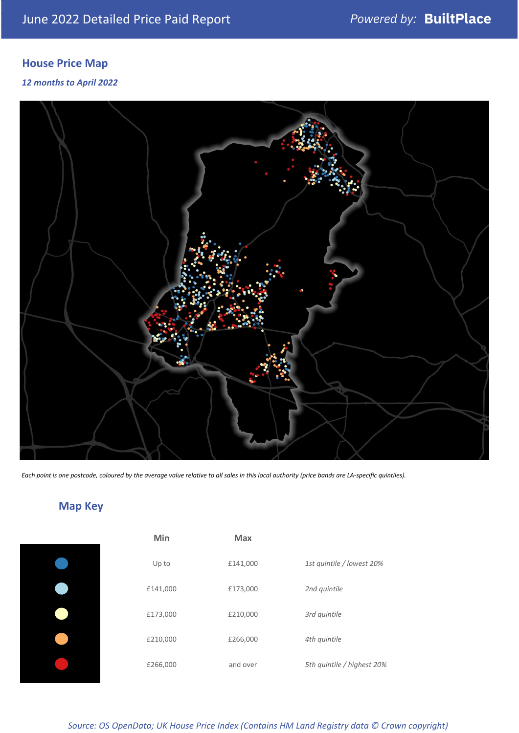# **House Price Map**

### *12 months to April 2022*



*Each point is one postcode, coloured by the average value relative to all sales in this local authority (price bands are LA-specific quintiles).*

# **Map Key**

| 1st quintile / lowest 20%  |
|----------------------------|
|                            |
|                            |
|                            |
| 5th quintile / highest 20% |
|                            |

## *Source: OS OpenData; UK House Price Index (Contains HM Land Registry data © Crown copyright)*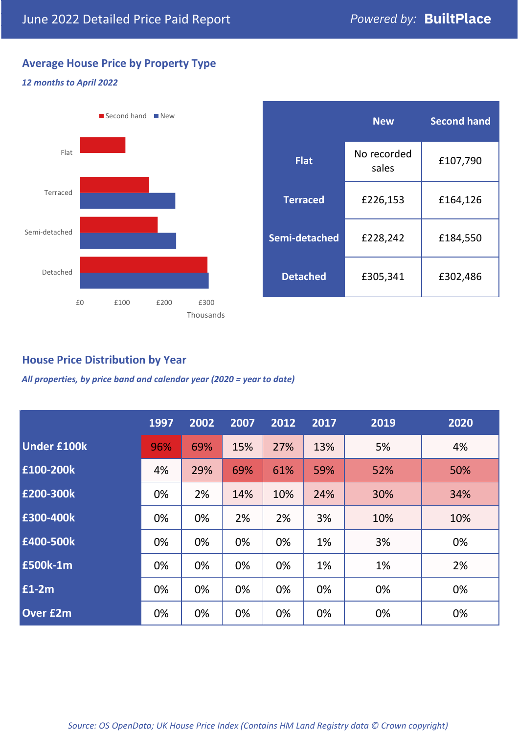# **Average House Price by Property Type**

### *12 months to April 2022*



|                 | <b>New</b>           | <b>Second hand</b> |  |  |
|-----------------|----------------------|--------------------|--|--|
| <b>Flat</b>     | No recorded<br>sales | £107,790           |  |  |
| <b>Terraced</b> | £226,153             | £164,126           |  |  |
| Semi-detached   | £228,242             | £184,550           |  |  |
| <b>Detached</b> | £305,341             | £302,486           |  |  |

## **House Price Distribution by Year**

*All properties, by price band and calendar year (2020 = year to date)*

|                    | 1997 | 2002 | 2007 | 2012 | 2017 | 2019 | 2020 |
|--------------------|------|------|------|------|------|------|------|
| <b>Under £100k</b> | 96%  | 69%  | 15%  | 27%  | 13%  | 5%   | 4%   |
| £100-200k          | 4%   | 29%  | 69%  | 61%  | 59%  | 52%  | 50%  |
| E200-300k          | 0%   | 2%   | 14%  | 10%  | 24%  | 30%  | 34%  |
| £300-400k          | 0%   | 0%   | 2%   | 2%   | 3%   | 10%  | 10%  |
| £400-500k          | 0%   | 0%   | 0%   | 0%   | 1%   | 3%   | 0%   |
| <b>£500k-1m</b>    | 0%   | 0%   | 0%   | 0%   | 1%   | 1%   | 2%   |
| £1-2m              | 0%   | 0%   | 0%   | 0%   | 0%   | 0%   | 0%   |
| <b>Over £2m</b>    | 0%   | 0%   | 0%   | 0%   | 0%   | 0%   | 0%   |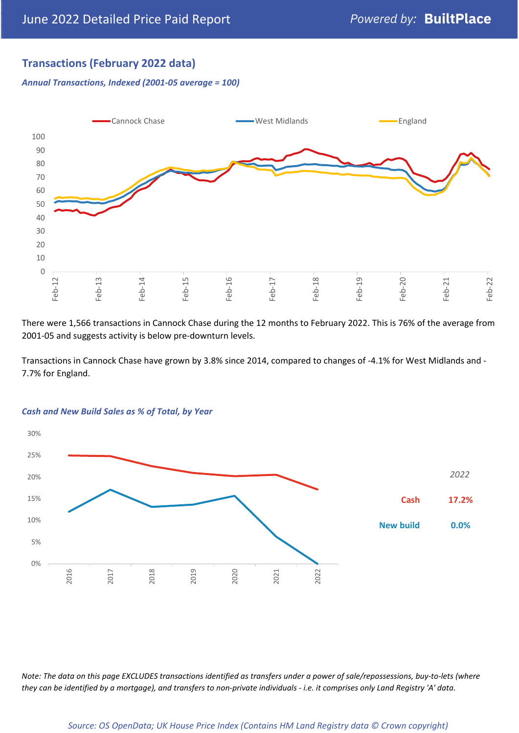## **Transactions (February 2022 data)**

*Annual Transactions, Indexed (2001-05 average = 100)*



There were 1,566 transactions in Cannock Chase during the 12 months to February 2022. This is 76% of the average from 2001-05 and suggests activity is below pre-downturn levels.

Transactions in Cannock Chase have grown by 3.8% since 2014, compared to changes of -4.1% for West Midlands and - 7.7% for England.



#### *Cash and New Build Sales as % of Total, by Year*

*Note: The data on this page EXCLUDES transactions identified as transfers under a power of sale/repossessions, buy-to-lets (where they can be identified by a mortgage), and transfers to non-private individuals - i.e. it comprises only Land Registry 'A' data.*